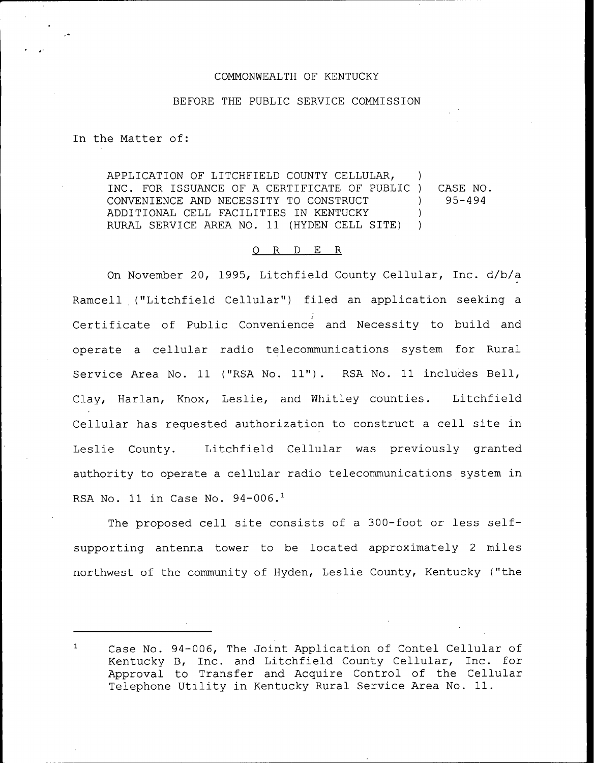## COMMONWEALTH OF KENTUCKY

## BEFORE THE PUBLIC SERVICE COMMISSION

In the Matter of:

APPLICATION OF LITCHFIELD COUNTY CELLULAR, ) INC. FOR ISSUANCE OF A CERTIFICATE OF PUBLIC ) CONVENIENCE AND NECESSITY TO CONSTRUCT ) ADDITIONAL CELL FACILITIES IN KENTUCKY ) RURAL SERVICE AREA NO. 11 (HYDEN CELL SITE) ) CASE NO. 95-494

## 0 R <sup>D</sup> E R

On November 20, 1995, Litchfield County Cellular, Inc. d/b/a Ramcell ("Litchfield Cellular") filed an application seeking a Certificate of Public Convenience and Necessity to build and operate a cellular radio telecommunications system for Rural Service Area No. 11 ("RSA No. 11"). RSA No. 11 includes Bell, Clay, Harlan, Knox, Leslie, and Whitley counties. Litchfield Cellular has requested authorization to construct a cell site in Leslie County. Litchfield Cellular was previously granted authority to operate a cellular radio telecommunications system in RSA No. 11 in Case No.  $94-006.$ <sup>1</sup>

The proposed cell site consists of a 300-foot or less selfsupporting antenna tower to be located approximately <sup>2</sup> miles northwest of the community of Hyden, Leslie County, Kentucky ("the

 $\mathbf{1}$ Case No. 94-006, The Joint Application of Contel Cellular of Kentucky B, Inc. and Litchfield County Cellular, Inc. for Approval to Transfer and Acquire Control of the Cellular Telephone Utility in Kentucky Rural Service Area No. 11.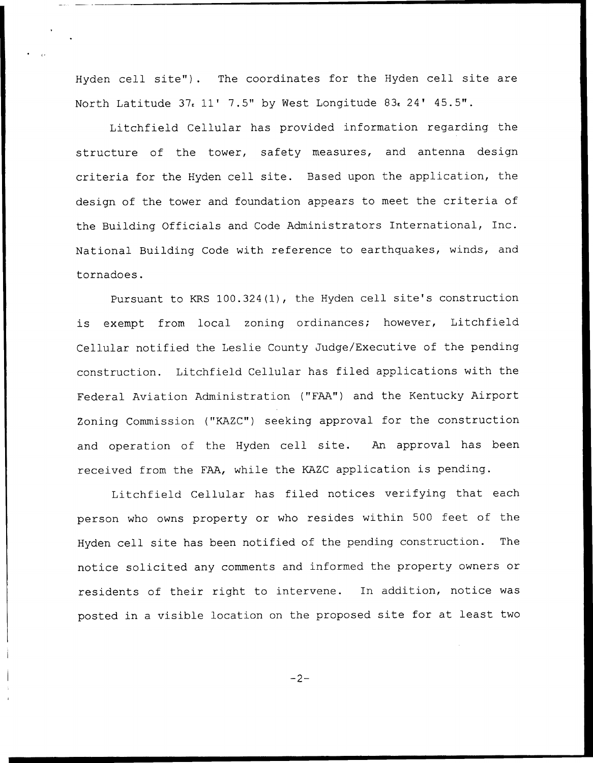Hyden cell site"). The coordinates for the Hyden cell site are North Latitude  $37.11'$  7.5" by West Longitude  $83.24'$  45.5".

Litchfield Cellular has provided information regarding the structure of the tower, safety measures, and antenna design criteria for the Hyden cell site. Based upon the application, the design of the tower and foundation appears to meet the criteria of the Building Officials and Code Administrators International, Inc. National Building Code with reference to earthquakes, winds, and tornadoes.

Pursuant to KRS 100.324(1), the Hyden cell site's construction is exempt from local zoning ordinances; however, Litchfield Cellular notified the Leslie County Judge/Executive of the pending construction. Litchfield Cellular has filed applications with the Federal Aviation Administration ("FAA") and the Kentucky Airport Zoning Commission ("KAZC") seeking approval for the construction and operation of the Hyden cell site. An approval has been received from the FAA, while the KAZC application is pending.

Litchfield Cellular has filed notices verifying that each person who owns property or who resides within 500 feet of the Hyden cell site has been notified of the pending construction. The notice solicited any comments and informed the property owners or residents of their right to intervene. In addition, notice was posted in <sup>a</sup> visible location on the proposed site for at least two

 $-2-$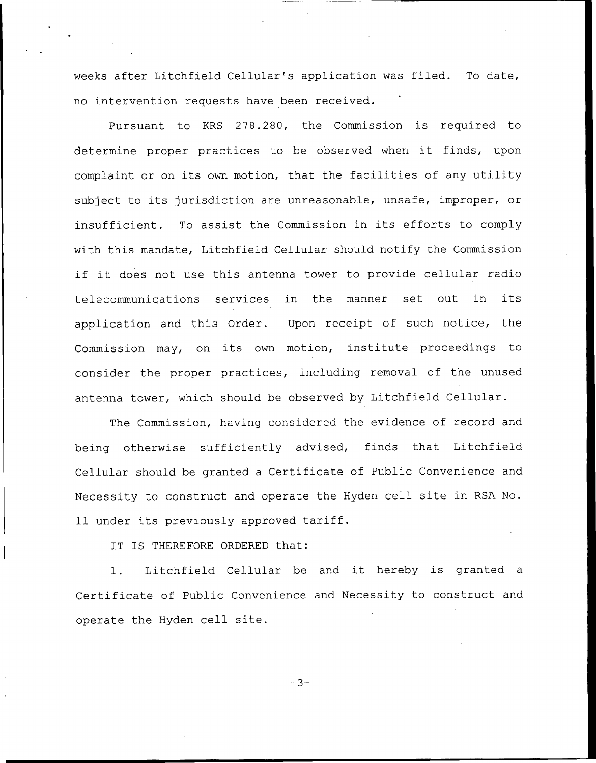weeks after Litchfield Cellular's application was filed. To date, no intervention requests have been received.

Pursuant to KRS 278.280, the Commission is required to determine proper practices to be observed when it finds, upon complaint or on its own motion, that the facilities of any utility subject to its jurisdiction are unreasonable, unsafe, improper, or insufficient. To assist the Commission in its efforts to comply with this mandate, Litchfield Cellular should notify the Commission if it does not use this antenna tower to provide cellular radio telecommunications services in the manner set out in its application and this Order. Upon receipt of such notice, the Commission may, on its own motion, institute proceedings to consider the proper practices, including removal of the unused antenna tower, which should be observed by Litchfield Cellular.

The Commission, having considered the evidence of record and being otherwise sufficiently advised, finds that Litchfield Cellular should be granted a Certificate of Public Convenience and Necessity to construct and operate the Hyden cell site in RSA No. 11 under its previously approved tariff.

IT IS THEREFORE ORDERED that:

1. Litchfield Cellular be and it hereby is granted <sup>a</sup> Certificate of Public Convenience and Necessity to construct and operate the Hyden cell site.

 $-3-$